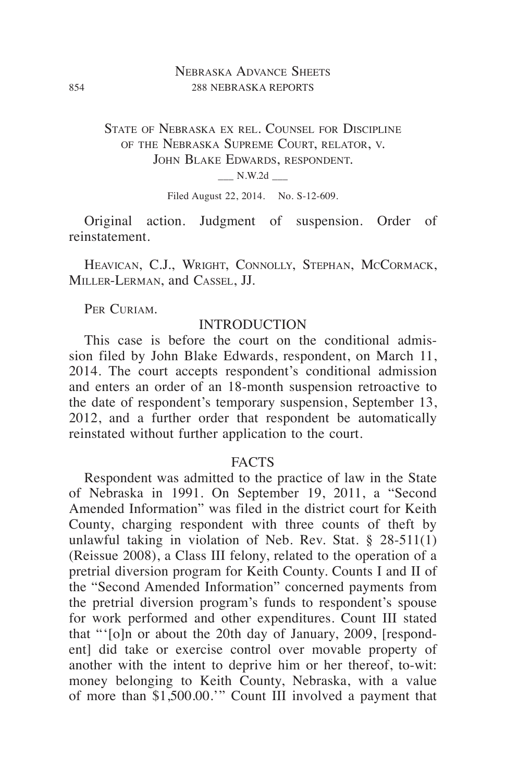## Nebraska Advance Sheets 854 288 NEBRASKA REPORTS

State of Nebraska ex rel. Counsel for Discipline of the Nebraska Supreme Court, relator, v. JOHN BLAKE EDWARDS, RESPONDENT.  $N.W.2d$   $\qquad$ 

Filed August 22, 2014. No. S-12-609.

Original action. Judgment of suspension. Order of reinstatement.

HEAVICAN, C.J., WRIGHT, CONNOLLY, STEPHAN, MCCORMACK, Miller-Lerman, and Cassel, JJ.

PER CURIAM.

### **INTRODUCTION**

This case is before the court on the conditional admission filed by John Blake Edwards, respondent, on March 11, 2014. The court accepts respondent's conditional admission and enters an order of an 18-month suspension retroactive to the date of respondent's temporary suspension, September 13, 2012, and a further order that respondent be automatically reinstated without further application to the court.

### **FACTS**

Respondent was admitted to the practice of law in the State of Nebraska in 1991. On September 19, 2011, a "Second Amended Information" was filed in the district court for Keith County, charging respondent with three counts of theft by unlawful taking in violation of Neb. Rev. Stat. § 28-511(1) (Reissue 2008), a Class III felony, related to the operation of a pretrial diversion program for Keith County. Counts I and II of the "Second Amended Information" concerned payments from the pretrial diversion program's funds to respondent's spouse for work performed and other expenditures. Count III stated that "'[o]n or about the 20th day of January, 2009, [respondent] did take or exercise control over movable property of another with the intent to deprive him or her thereof, to-wit: money belonging to Keith County, Nebraska, with a value of more than \$1,500.00.'" Count III involved a payment that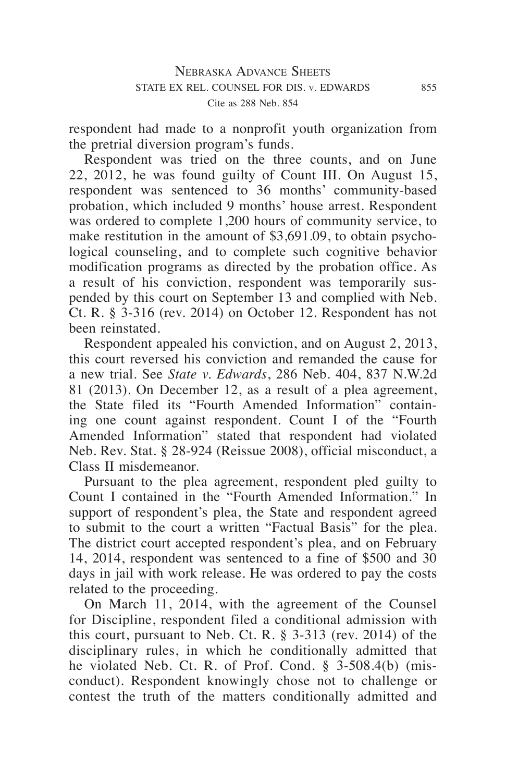respondent had made to a nonprofit youth organization from the pretrial diversion program's funds.

Respondent was tried on the three counts, and on June 22,  $2012$ , he was found guilty of Count III. On August 15, respondent was sentenced to 36 months' community-based probation, which included 9 months' house arrest. Respondent was ordered to complete 1,200 hours of community service, to make restitution in the amount of \$3,691.09, to obtain psychological counseling, and to complete such cognitive behavior modification programs as directed by the probation office. As a result of his conviction, respondent was temporarily suspended by this court on September 13 and complied with Neb. Ct. R.  $\S$  3-316 (rev. 2014) on October 12. Respondent has not been reinstated.

Respondent appealed his conviction, and on August 2, 2013, this court reversed his conviction and remanded the cause for a new trial. See *State v. Edwards*, 286 Neb. 404, 837 N.W.2d 81 (2013). On December 12, as a result of a plea agreement, the State filed its "Fourth Amended Information" containing one count against respondent. Count I of the "Fourth Amended Information" stated that respondent had violated Neb. Rev. Stat. § 28-924 (Reissue 2008), official misconduct, a Class II misdemeanor.

Pursuant to the plea agreement, respondent pled guilty to Count I contained in the "Fourth Amended Information." In support of respondent's plea, the State and respondent agreed to submit to the court a written "Factual Basis" for the plea. The district court accepted respondent's plea, and on February 14, 2014, respondent was sentenced to a fine of \$500 and 30 days in jail with work release. He was ordered to pay the costs related to the proceeding.

On March 11, 2014, with the agreement of the Counsel for Discipline, respondent filed a conditional admission with this court, pursuant to Neb. Ct. R. § 3-313 (rev. 2014) of the disciplinary rules, in which he conditionally admitted that he violated Neb. Ct. R. of Prof. Cond. § 3-508.4(b) (misconduct). Respondent knowingly chose not to challenge or contest the truth of the matters conditionally admitted and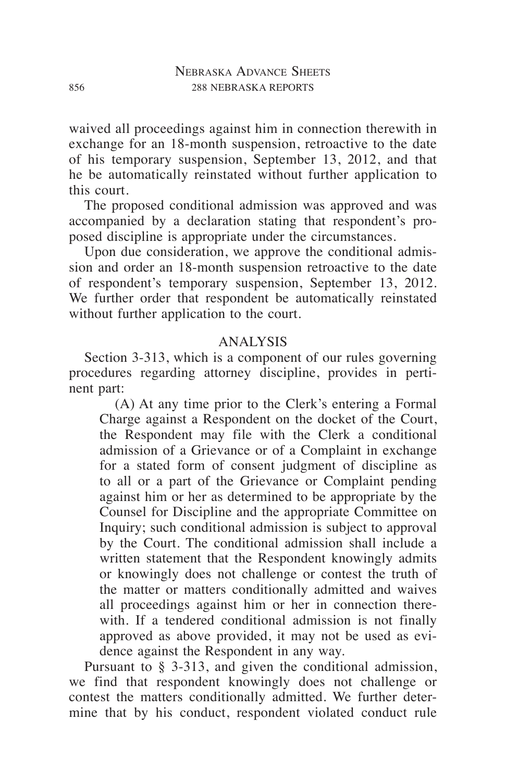waived all proceedings against him in connection therewith in exchange for an 18-month suspension, retroactive to the date of his temporary suspension, September 13, 2012, and that he be automatically reinstated without further application to this court.

The proposed conditional admission was approved and was accompanied by a declaration stating that respondent's proposed discipline is appropriate under the circumstances.

Upon due consideration, we approve the conditional admission and order an 18-month suspension retroactive to the date of respondent's temporary suspension, September 13, 2012. We further order that respondent be automatically reinstated without further application to the court.

# ANALYSIS

Section 3-313, which is a component of our rules governing procedures regarding attorney discipline, provides in pertinent part:

(A) At any time prior to the Clerk's entering a Formal Charge against a Respondent on the docket of the Court, the Respondent may file with the Clerk a conditional admission of a Grievance or of a Complaint in exchange for a stated form of consent judgment of discipline as to all or a part of the Grievance or Complaint pending against him or her as determined to be appropriate by the Counsel for Discipline and the appropriate Committee on Inquiry; such conditional admission is subject to approval by the Court. The conditional admission shall include a written statement that the Respondent knowingly admits or knowingly does not challenge or contest the truth of the matter or matters conditionally admitted and waives all proceedings against him or her in connection therewith. If a tendered conditional admission is not finally approved as above provided, it may not be used as evidence against the Respondent in any way.

Pursuant to § 3-313, and given the conditional admission, we find that respondent knowingly does not challenge or contest the matters conditionally admitted. We further determine that by his conduct, respondent violated conduct rule